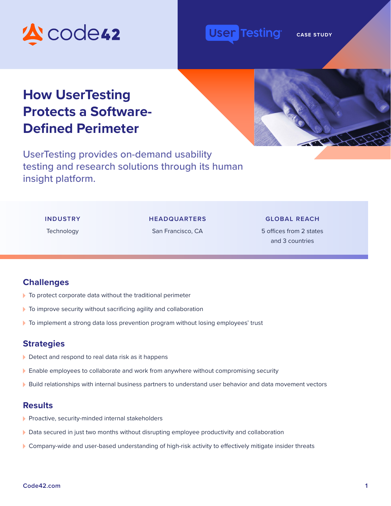

#### **Testing** User

**CASE STUDY** 

# **How UserTesting Protects a Software-Defined Perimeter**

UserTesting provides on-demand usability testing and research solutions through its human insight platform.

#### **INDUSTRY**

#### **HEADQUARTERS**

**Technology** 

#### San Francisco, CA

**GLOBAL REACH**

5 offices from 2 states and 3 countries

### **Challenges**

- $\blacktriangleright$  To protect corporate data without the traditional perimeter
- $\blacktriangleright$  To improve security without sacrificing agility and collaboration
- To implement a strong data loss prevention program without losing employees' trust

### **Strategies**

- Detect and respond to real data risk as it happens
- Enable employees to collaborate and work from anywhere without compromising security
- Build relationships with internal business partners to understand user behavior and data movement vectors

#### **Results**

- Proactive, security-minded internal stakeholders
- Data secured in just two months without disrupting employee productivity and collaboration
- Company-wide and user-based understanding of high-risk activity to effectively mitigate insider threats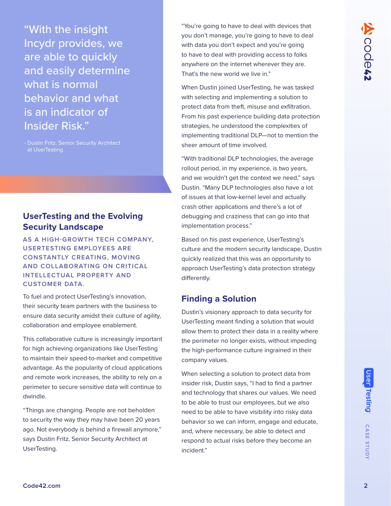"With the insight Incydr provides, we are able to quickly and easily determine what is normal behavior and what is an indicator of Insider Risk."

- Dustin Fritz, Senior Security Architect at UserTesting

# **UserTesting and the Evolving Security Landscape**

**AS A HIGH-GROWTH TECH COMPANY, USERTESTING EMPLOYEES ARE CONSTANTLY CREATING, MOVING AND COLLABORATING ON CRITICAL INTELLECTUAL PROPERTY AND CUSTOMER DATA.** 

To fuel and protect UserTesting's innovation, their security team partners with the business to ensure data security amidst their culture of agility, collaboration and employee enablement.

This collaborative culture is increasingly important for high achieving organizations like UserTesting to maintain their speed-to-market and competitive advantage. As the popularity of cloud applications and remote work increases, the ability to rely on a perimeter to secure sensitive data will continue to dwindle.

ago. Not everybody is behind a firewall anymore," and, where necessary, be able to detect and respond to actual risks before they become an incident."<br>
UserTesting.<br> [Code42.com](http://code42.com) **2**<br>
Code42.com **2** "Things are changing. People are not beholden to security the way they may have been 20 years ago. Not everybody is behind a firewall anymore," says Dustin Fritz, Senior Security Architect at UserTesting.

"You're going to have to deal with devices that you don't manage, you're going to have to deal with data you don't expect and you're going to have to deal with providing access to folks anywhere on the internet wherever they are. That's the new world we live in."

When Dustin joined UserTesting, he was tasked with selecting and implementing a solution to protect data from theft, misuse and exfiltration. From his past experience building data protection strategies, he understood the complexities of implementing traditional DLP—not to mention the sheer amount of time involved.

"With traditional DLP technologies, the average rollout period, in my experience, is two years, and we wouldn't get the context we need," says Dustin. "Many DLP technologies also have a lot of issues at that low-kernel level and actually crash other applications and there's a lot of debugging and craziness that can go into that implementation process."

Based on his past experience, UserTesting's culture and the modern security landscape, Dustin quickly realized that this was an opportunity to approach UserTesting's data protection strategy differently.

# **Finding a Solution**

Dustin's visionary approach to data security for UserTesting meant finding a solution that would allow them to protect their data in a reality where the perimeter no longer exists, without impeding the high-performance culture ingrained in their company values.

When selecting a solution to protect data from insider risk, Dustin says, "I had to find a partner and technology that shares our values. We need to be able to trust our employees, but we also need to be able to have visibility into risky data behavior so we can inform, engage and educate, and, where necessary, be able to detect and respond to actual risks before they become an incident."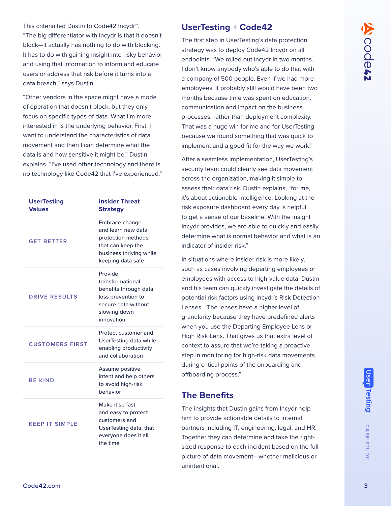This criteria led Dustin to Code42 Incydr™. "The big differentiator with Incydr is that it doesn't block—it actually has nothing to do with blocking. It has to do with gaining insight into risky behavior and using that information to inform and educate users or address that risk before it turns into a data breach," says Dustin.

"Other vendors in the space might have a mode of operation that doesn't block, but they only focus on specific types of data. What I'm more interested in is the underlying behavior. First, I want to understand the characteristics of data movement and then I can determine what the data is and how sensitive it might be," Dustin explains. "I've used other technology and there is no technology like Code42 that I've experienced."

| <b>UserTesting</b><br><b>Values</b> | <b>Insider Threat</b><br><b>Strategy</b>                                                                                        |
|-------------------------------------|---------------------------------------------------------------------------------------------------------------------------------|
| <b>GET BETTER</b>                   | Embrace change<br>and learn new data<br>protection methods<br>that can keep the<br>business thriving while<br>keeping data safe |
| <b>DRIVE RESULTS</b>                | Provide<br>transformational<br>benefits through data<br>loss prevention to<br>secure data without<br>slowing down<br>innovation |
| <b>CUSTOMERS FIRST</b>              | Protect customer and<br><b>UserTesting data while</b><br>enabling productivity<br>and collaboration                             |
| <b>BE KIND</b>                      | Assume positive<br>intent and help others<br>to avoid high-risk<br>behavior                                                     |
| <b>KEEP IT SIMPLE</b>               | Make it so fast<br>and easy to protect<br>customers and<br>UserTesting data, that<br>everyone does it all<br>the time           |

## **UserTesting + Code42**

The first step in UserTesting's data protection strategy was to deploy Code42 Incydr on all endpoints. "We rolled out Incydr in two months. I don't know anybody who's able to do that with a company of 500 people. Even if we had more employees, it probably still would have been two months because time was spent on education, communication and impact on the business processes, rather than deployment complexity. That was a huge win for me and for UserTesting because we found something that was quick to implement and a good fit for the way we work."

After a seamless implementation, UserTesting's security team could clearly see data movement across the organization, making it simple to assess their data risk. Dustin explains, "for me, it's about actionable intelligence. Looking at the risk exposure dashboard every day is helpful to get a sense of our baseline. With the insight Incydr provides, we are able to quickly and easily determine what is normal behavior and what is an indicator of insider risk."

In situations where insider risk is more likely, such as cases involving departing employees or employees with access to high-value data, Dustin and his team can quickly investigate the details of potential risk factors using Incydr's Risk Detection Lenses. "The lenses have a higher level of granularity because they have predefined alerts when you use the Departing Employee Lens or High Risk Lens. That gives us that extra level of context to assure that we're taking a proactive step in monitoring for high-risk data movements during critical points of the onboarding and offboarding process."

# **The Benefits**

The insights that Dustin gains from Incydr help him to provide actionable details to internal partners including IT, engineering, legal, and HR. Together they can determine and take the rightsized response to each incident based on the full picture of data movement—whether malicious or unintentional.